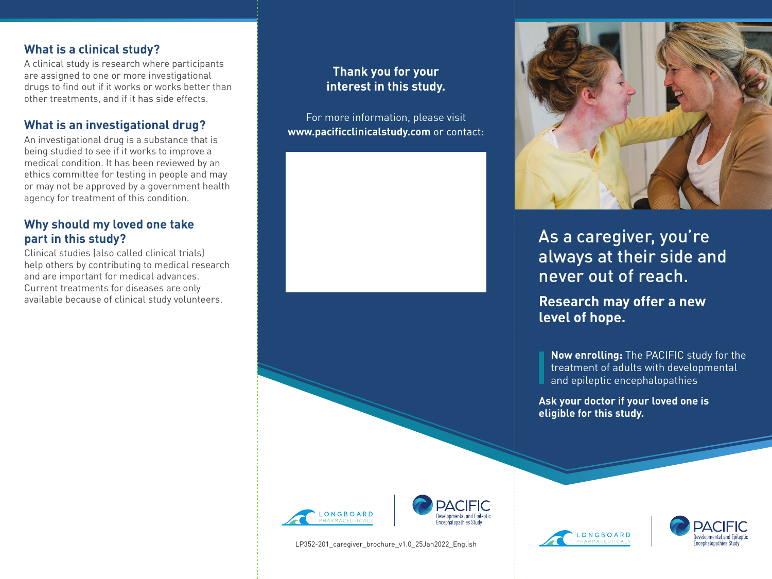# **What is a clinical study?**

A clinical study is research where participants are assigned to one or more investigational drugs to find out if it works or works better than other treatments, and if it has side effects.

# **What is an investigational drug?**

An investigational drug is a substance that is being studied to see if it works to improve a medical condition. It has been reviewed by an ethics committee for testing in people and may or may not be approved by a government health agency for treatment of this condition.

# **Why should my loved one take part in this study?**

Clinical studies (also called clinical trials) help others by contributing to medical research and are important for medical advances. Current treatments for diseases are only available because of clinical study volunteers.

# **Thank you for your interest in this study.**

For more information, please visit **www.pacificclinicalstudy.com** or contact:





LP352-201 caregiver brochure v1.0 25Jan2022 English



# As a caregiver, you're always at their side and never out of reach.

**Research may offer a new level of hope.**

**Now enrolling:** The PACIFIC study for the treatment of adults with developmental and epileptic encephalopathies

**Ask your doctor if your loved one is eligible for this study.**